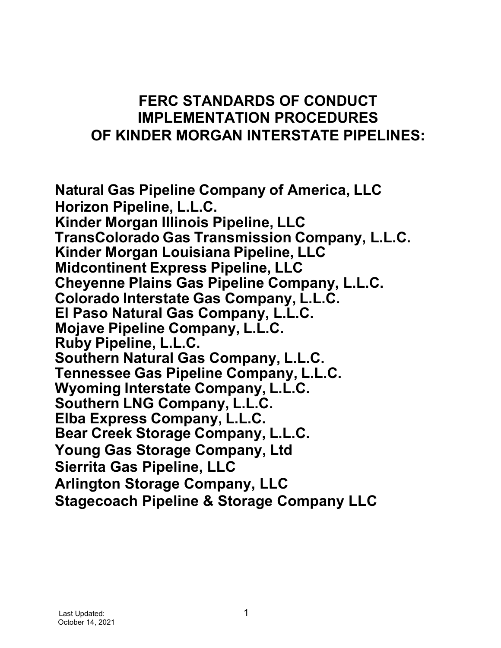# **FERC STANDARDS OF CONDUCT IMPLEMENTATION PROCEDURES OF KINDER MORGAN INTERSTATE PIPELINES:**

**Natural Gas Pipeline Company of America, LLC Horizon Pipeline, L.L.C. Kinder Morgan Illinois Pipeline, LLC TransColorado Gas Transmission Company, L.L.C. Kinder Morgan Louisiana Pipeline, LLC Midcontinent Express Pipeline, LLC Cheyenne Plains Gas Pipeline Company, L.L.C. Colorado Interstate Gas Company, L.L.C. El Paso Natural Gas Company, L.L.C. Mojave Pipeline Company, L.L.C. Ruby Pipeline, L.L.C. Southern Natural Gas Company, L.L.C. Tennessee Gas Pipeline Company, L.L.C. Wyoming Interstate Company, L.L.C. Southern LNG Company, L.L.C. Elba Express Company, L.L.C. Bear Creek Storage Company, L.L.C. Young Gas Storage Company, Ltd Sierrita Gas Pipeline, LLC Arlington Storage Company, LLC Stagecoach Pipeline & Storage Company LLC**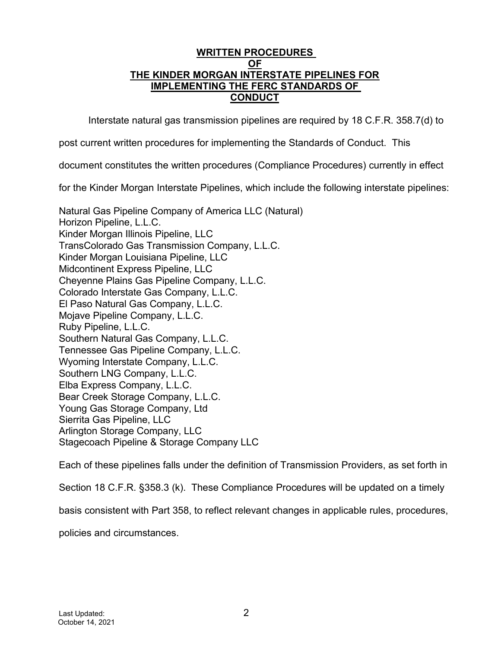# **WRITTEN PROCEDURES OF THE KINDER MORGAN INTERSTATE PIPELINES FOR IMPLEMENTING THE FERC STANDARDS OF CONDUCT**

Interstate natural gas transmission pipelines are required by 18 C.F.R. 358.7(d) to

post current written procedures for implementing the Standards of Conduct. This

document constitutes the written procedures (Compliance Procedures) currently in effect

for the Kinder Morgan Interstate Pipelines, which include the following interstate pipelines:

Natural Gas Pipeline Company of America LLC (Natural) Horizon Pipeline, L.L.C. Kinder Morgan Illinois Pipeline, LLC TransColorado Gas Transmission Company, L.L.C. Kinder Morgan Louisiana Pipeline, LLC Midcontinent Express Pipeline, LLC Cheyenne Plains Gas Pipeline Company, L.L.C. Colorado Interstate Gas Company, L.L.C. El Paso Natural Gas Company, L.L.C. Mojave Pipeline Company, L.L.C. Ruby Pipeline, L.L.C. Southern Natural Gas Company, L.L.C. Tennessee Gas Pipeline Company, L.L.C. Wyoming Interstate Company, L.L.C. Southern LNG Company, L.L.C. Elba Express Company, L.L.C. Bear Creek Storage Company, L.L.C. Young Gas Storage Company, Ltd Sierrita Gas Pipeline, LLC Arlington Storage Company, LLC Stagecoach Pipeline & Storage Company LLC

Each of these pipelines falls under the definition of Transmission Providers, as set forth in

Section 18 C.F.R. §358.3 (k). These Compliance Procedures will be updated on a timely

basis consistent with Part 358, to reflect relevant changes in applicable rules, procedures,

policies and circumstances.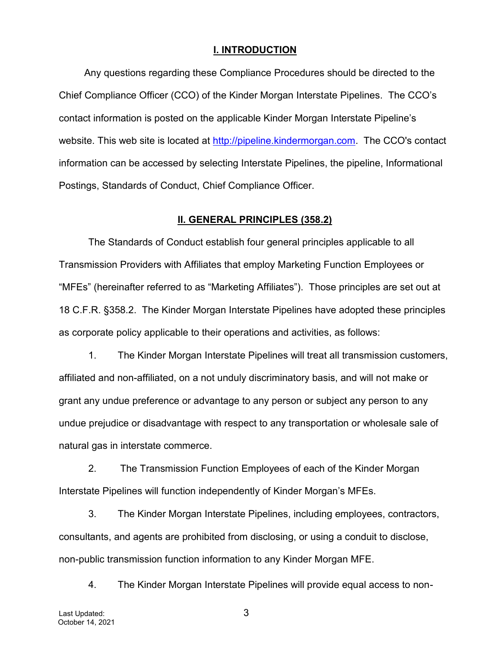#### **I. INTRODUCTION**

Any questions regarding these Compliance Procedures should be directed to the Chief Compliance Officer (CCO) of the Kinder Morgan Interstate Pipelines. The CCO's contact information is posted on the applicable Kinder Morgan Interstate Pipeline's website. This web site is located at http://pipeline.kindermorgan.com. The CCO's contact information can be accessed by selecting Interstate Pipelines, the pipeline, Informational Postings, Standards of Conduct, Chief Compliance Officer.

#### **II. GENERAL PRINCIPLES (358.2)**

The Standards of Conduct establish four general principles applicable to all Transmission Providers with Affiliates that employ Marketing Function Employees or "MFEs" (hereinafter referred to as "Marketing Affiliates"). Those principles are set out at 18 C.F.R. §358.2. The Kinder Morgan Interstate Pipelines have adopted these principles as corporate policy applicable to their operations and activities, as follows:

1. The Kinder Morgan Interstate Pipelines will treat all transmission customers, affiliated and non-affiliated, on a not unduly discriminatory basis, and will not make or grant any undue preference or advantage to any person or subject any person to any undue prejudice or disadvantage with respect to any transportation or wholesale sale of natural gas in interstate commerce.

2. The Transmission Function Employees of each of the Kinder Morgan Interstate Pipelines will function independently of Kinder Morgan's MFEs.

3. The Kinder Morgan Interstate Pipelines, including employees, contractors, consultants, and agents are prohibited from disclosing, or using a conduit to disclose, non-public transmission function information to any Kinder Morgan MFE.

4. The Kinder Morgan Interstate Pipelines will provide equal access to non-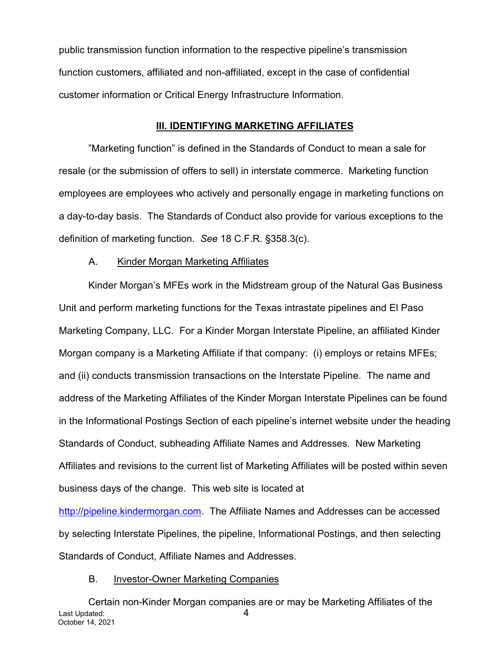public transmission function information to the respective pipeline's transmission function customers, affiliated and non-affiliated, except in the case of confidential customer information or Critical Energy Infrastructure Information.

#### **III. IDENTIFYING MARKETING AFFILIATES**

"Marketing function" is defined in the Standards of Conduct to mean a sale for resale (or the submission of offers to sell) in interstate commerce. Marketing function employees are employees who actively and personally engage in marketing functions on a day-to-day basis. The Standards of Conduct also provide for various exceptions to the definition of marketing function. *See* 18 C.F.R. §358.3(c).

### A. Kinder Morgan Marketing Affiliates

Kinder Morgan's MFEs work in the Midstream group of the Natural Gas Business Unit and perform marketing functions for the Texas intrastate pipelines and El Paso Marketing Company, LLC. For a Kinder Morgan Interstate Pipeline, an affiliated Kinder Morgan company is a Marketing Affiliate if that company: (i) employs or retains MFEs; and (ii) conducts transmission transactions on the Interstate Pipeline. The name and address of the Marketing Affiliates of the Kinder Morgan Interstate Pipelines can be found in the Informational Postings Section of each pipeline's internet website under the heading Standards of Conduct, subheading Affiliate Names and Addresses. New Marketing Affiliates and revisions to the current list of Marketing Affiliates will be posted within seven business days of the change. This web site is located at

http://pipeline.kindermorgan.com. The Affiliate Names and Addresses can be accessed by selecting Interstate Pipelines, the pipeline, Informational Postings, and then selecting Standards of Conduct, Affiliate Names and Addresses.

#### B. Investor-Owner Marketing Companies

Last Updated: 4 October 14, 2021 Certain non-Kinder Morgan companies are or may be Marketing Affiliates of the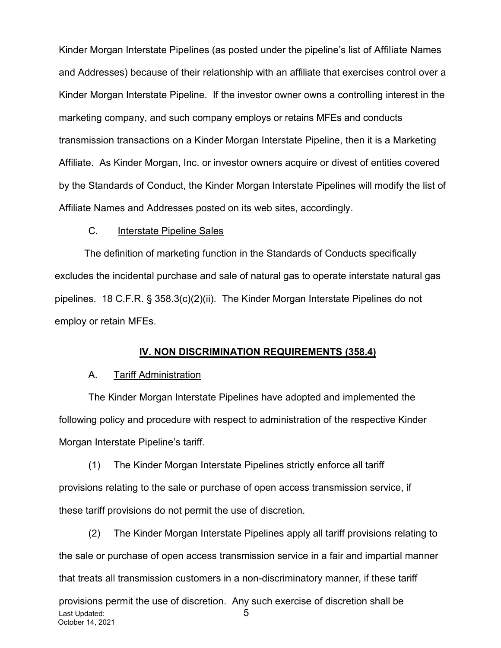Kinder Morgan Interstate Pipelines (as posted under the pipeline's list of Affiliate Names and Addresses) because of their relationship with an affiliate that exercises control over a Kinder Morgan Interstate Pipeline. If the investor owner owns a controlling interest in the marketing company, and such company employs or retains MFEs and conducts transmission transactions on a Kinder Morgan Interstate Pipeline, then it is a Marketing Affiliate. As Kinder Morgan, Inc. or investor owners acquire or divest of entities covered by the Standards of Conduct, the Kinder Morgan Interstate Pipelines will modify the list of Affiliate Names and Addresses posted on its web sites, accordingly.

### C. Interstate Pipeline Sales

The definition of marketing function in the Standards of Conducts specifically excludes the incidental purchase and sale of natural gas to operate interstate natural gas pipelines. 18 C.F.R. § 358.3(c)(2)(ii). The Kinder Morgan Interstate Pipelines do not employ or retain MFEs.

### **IV. NON DISCRIMINATION REQUIREMENTS (358.4)**

#### A. Tariff Administration

The Kinder Morgan Interstate Pipelines have adopted and implemented the following policy and procedure with respect to administration of the respective Kinder Morgan Interstate Pipeline's tariff.

(1) The Kinder Morgan Interstate Pipelines strictly enforce all tariff provisions relating to the sale or purchase of open access transmission service, if these tariff provisions do not permit the use of discretion.

Last Updated: 5 October 14, 2021 (2) The Kinder Morgan Interstate Pipelines apply all tariff provisions relating to the sale or purchase of open access transmission service in a fair and impartial manner that treats all transmission customers in a non-discriminatory manner, if these tariff provisions permit the use of discretion. Any such exercise of discretion shall be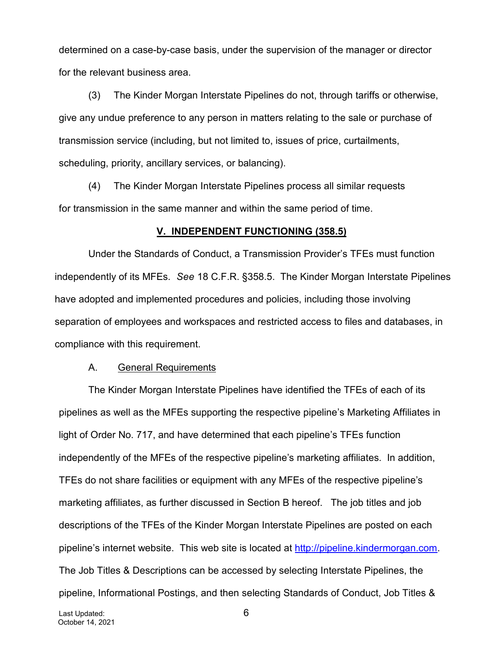determined on a case-by-case basis, under the supervision of the manager or director for the relevant business area.

(3) The Kinder Morgan Interstate Pipelines do not, through tariffs or otherwise, give any undue preference to any person in matters relating to the sale or purchase of transmission service (including, but not limited to, issues of price, curtailments, scheduling, priority, ancillary services, or balancing).

(4) The Kinder Morgan Interstate Pipelines process all similar requests for transmission in the same manner and within the same period of time.

#### **V. INDEPENDENT FUNCTIONING (358.5)**

Under the Standards of Conduct, a Transmission Provider's TFEs must function independently of its MFEs. *See* 18 C.F.R. §358.5. The Kinder Morgan Interstate Pipelines have adopted and implemented procedures and policies, including those involving separation of employees and workspaces and restricted access to files and databases, in compliance with this requirement.

#### A. General Requirements

The Kinder Morgan Interstate Pipelines have identified the TFEs of each of its pipelines as well as the MFEs supporting the respective pipeline's Marketing Affiliates in light of Order No. 717, and have determined that each pipeline's TFEs function independently of the MFEs of the respective pipeline's marketing affiliates. In addition, TFEs do not share facilities or equipment with any MFEs of the respective pipeline's marketing affiliates, as further discussed in Section B hereof. The job titles and job descriptions of the TFEs of the Kinder Morgan Interstate Pipelines are posted on each pipeline's internet website. This web site is located at http://pipeline.kindermorgan.com. The Job Titles & Descriptions can be accessed by selecting Interstate Pipelines, the pipeline, Informational Postings, and then selecting Standards of Conduct, Job Titles &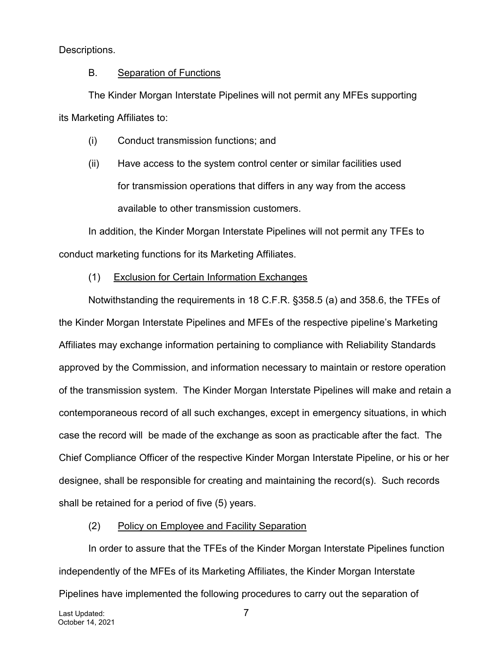Descriptions.

# B. Separation of Functions

The Kinder Morgan Interstate Pipelines will not permit any MFEs supporting its Marketing Affiliates to:

- (i) Conduct transmission functions; and
- (ii) Have access to the system control center or similar facilities used for transmission operations that differs in any way from the access available to other transmission customers.

In addition, the Kinder Morgan Interstate Pipelines will not permit any TFEs to conduct marketing functions for its Marketing Affiliates.

(1) Exclusion for Certain Information Exchanges

Notwithstanding the requirements in 18 C.F.R. §358.5 (a) and 358.6, the TFEs of the Kinder Morgan Interstate Pipelines and MFEs of the respective pipeline's Marketing Affiliates may exchange information pertaining to compliance with Reliability Standards approved by the Commission, and information necessary to maintain or restore operation of the transmission system. The Kinder Morgan Interstate Pipelines will make and retain a contemporaneous record of all such exchanges, except in emergency situations, in which case the record will be made of the exchange as soon as practicable after the fact. The Chief Compliance Officer of the respective Kinder Morgan Interstate Pipeline, or his or her designee, shall be responsible for creating and maintaining the record(s). Such records shall be retained for a period of five (5) years.

# (2) Policy on Employee and Facility Separation

In order to assure that the TFEs of the Kinder Morgan Interstate Pipelines function independently of the MFEs of its Marketing Affiliates, the Kinder Morgan Interstate Pipelines have implemented the following procedures to carry out the separation of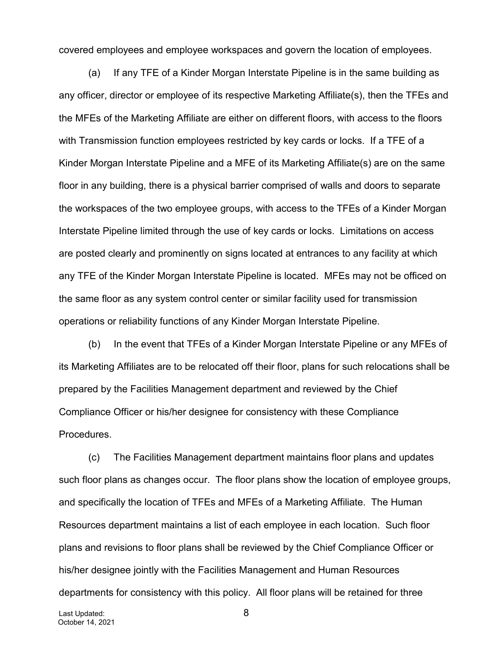covered employees and employee workspaces and govern the location of employees.

(a) If any TFE of a Kinder Morgan Interstate Pipeline is in the same building as any officer, director or employee of its respective Marketing Affiliate(s), then the TFEs and the MFEs of the Marketing Affiliate are either on different floors, with access to the floors with Transmission function employees restricted by key cards or locks. If a TFE of a Kinder Morgan Interstate Pipeline and a MFE of its Marketing Affiliate(s) are on the same floor in any building, there is a physical barrier comprised of walls and doors to separate the workspaces of the two employee groups, with access to the TFEs of a Kinder Morgan Interstate Pipeline limited through the use of key cards or locks. Limitations on access are posted clearly and prominently on signs located at entrances to any facility at which any TFE of the Kinder Morgan Interstate Pipeline is located. MFEs may not be officed on the same floor as any system control center or similar facility used for transmission operations or reliability functions of any Kinder Morgan Interstate Pipeline.

(b) In the event that TFEs of a Kinder Morgan Interstate Pipeline or any MFEs of its Marketing Affiliates are to be relocated off their floor, plans for such relocations shall be prepared by the Facilities Management department and reviewed by the Chief Compliance Officer or his/her designee for consistency with these Compliance Procedures.

(c) The Facilities Management department maintains floor plans and updates such floor plans as changes occur. The floor plans show the location of employee groups, and specifically the location of TFEs and MFEs of a Marketing Affiliate. The Human Resources department maintains a list of each employee in each location. Such floor plans and revisions to floor plans shall be reviewed by the Chief Compliance Officer or his/her designee jointly with the Facilities Management and Human Resources departments for consistency with this policy. All floor plans will be retained for three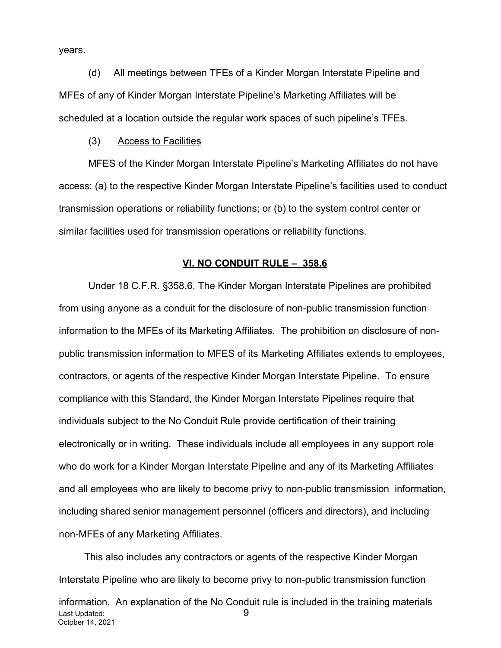years.

(d) All meetings between TFEs of a Kinder Morgan Interstate Pipeline and MFEs of any of Kinder Morgan Interstate Pipeline's Marketing Affiliates will be scheduled at a location outside the regular work spaces of such pipeline's TFEs.

#### (3) Access to Facilities

MFES of the Kinder Morgan Interstate Pipeline's Marketing Affiliates do not have access: (a) to the respective Kinder Morgan Interstate Pipeline's facilities used to conduct transmission operations or reliability functions; or (b) to the system control center or similar facilities used for transmission operations or reliability functions.

#### **VI. NO CONDUIT RULE – 358.6**

Under 18 C.F.R. §358.6, The Kinder Morgan Interstate Pipelines are prohibited from using anyone as a conduit for the disclosure of non-public transmission function information to the MFEs of its Marketing Affiliates. The prohibition on disclosure of nonpublic transmission information to MFES of its Marketing Affiliates extends to employees, contractors, or agents of the respective Kinder Morgan Interstate Pipeline. To ensure compliance with this Standard, the Kinder Morgan Interstate Pipelines require that individuals subject to the No Conduit Rule provide certification of their training electronically or in writing. These individuals include all employees in any support role who do work for a Kinder Morgan Interstate Pipeline and any of its Marketing Affiliates and all employees who are likely to become privy to non-public transmission information, including shared senior management personnel (officers and directors), and including non-MFEs of any Marketing Affiliates.

This also includes any contractors or agents of the respective Kinder Morgan Interstate Pipeline who are likely to become privy to non-public transmission function

Last Updated: 9 October 14, 2021 information. An explanation of the No Conduit rule is included in the training materials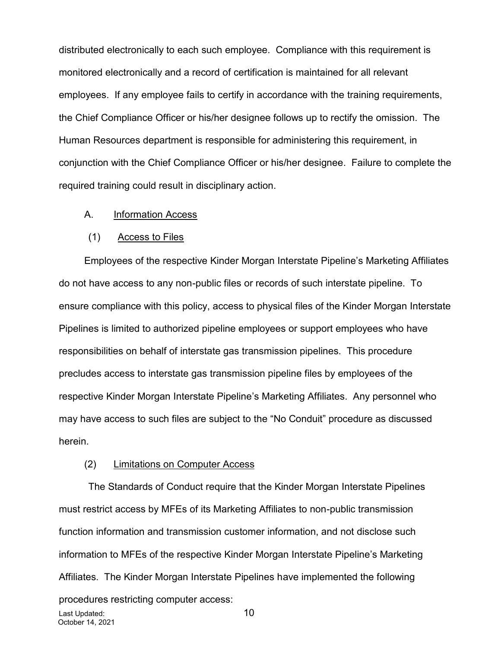distributed electronically to each such employee. Compliance with this requirement is monitored electronically and a record of certification is maintained for all relevant employees. If any employee fails to certify in accordance with the training requirements, the Chief Compliance Officer or his/her designee follows up to rectify the omission. The Human Resources department is responsible for administering this requirement, in conjunction with the Chief Compliance Officer or his/her designee. Failure to complete the required training could result in disciplinary action.

#### A. Information Access

#### (1) Access to Files

Employees of the respective Kinder Morgan Interstate Pipeline's Marketing Affiliates do not have access to any non-public files or records of such interstate pipeline. To ensure compliance with this policy, access to physical files of the Kinder Morgan Interstate Pipelines is limited to authorized pipeline employees or support employees who have responsibilities on behalf of interstate gas transmission pipelines. This procedure precludes access to interstate gas transmission pipeline files by employees of the respective Kinder Morgan Interstate Pipeline's Marketing Affiliates. Any personnel who may have access to such files are subject to the "No Conduit" procedure as discussed herein.

#### (2) Limitations on Computer Access

Last Updated: 10 October 14, 2021 The Standards of Conduct require that the Kinder Morgan Interstate Pipelines must restrict access by MFEs of its Marketing Affiliates to non-public transmission function information and transmission customer information, and not disclose such information to MFEs of the respective Kinder Morgan Interstate Pipeline's Marketing Affiliates. The Kinder Morgan Interstate Pipelines have implemented the following procedures restricting computer access: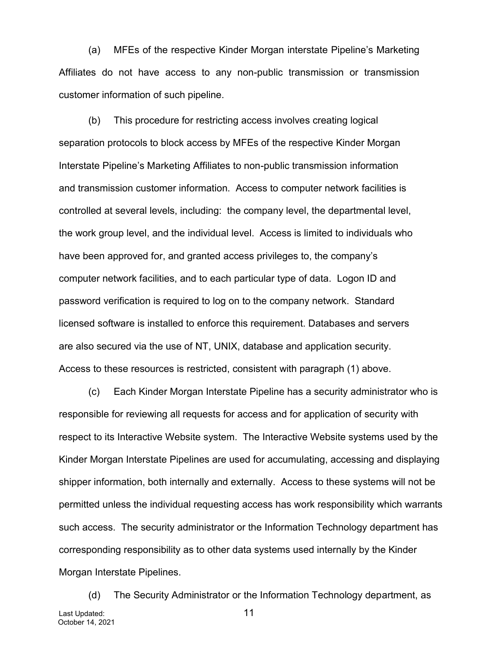(a) MFEs of the respective Kinder Morgan interstate Pipeline's Marketing Affiliates do not have access to any non-public transmission or transmission customer information of such pipeline.

(b) This procedure for restricting access involves creating logical separation protocols to block access by MFEs of the respective Kinder Morgan Interstate Pipeline's Marketing Affiliates to non-public transmission information and transmission customer information. Access to computer network facilities is controlled at several levels, including: the company level, the departmental level, the work group level, and the individual level. Access is limited to individuals who have been approved for, and granted access privileges to, the company's computer network facilities, and to each particular type of data. Logon ID and password verification is required to log on to the company network. Standard licensed software is installed to enforce this requirement. Databases and servers are also secured via the use of NT, UNIX, database and application security. Access to these resources is restricted, consistent with paragraph (1) above.

(c) Each Kinder Morgan Interstate Pipeline has a security administrator who is responsible for reviewing all requests for access and for application of security with respect to its Interactive Website system. The Interactive Website systems used by the Kinder Morgan Interstate Pipelines are used for accumulating, accessing and displaying shipper information, both internally and externally. Access to these systems will not be permitted unless the individual requesting access has work responsibility which warrants such access. The security administrator or the Information Technology department has corresponding responsibility as to other data systems used internally by the Kinder Morgan Interstate Pipelines.

Last Updated: 11 October 14, 2021 (d) The Security Administrator or the Information Technology department, as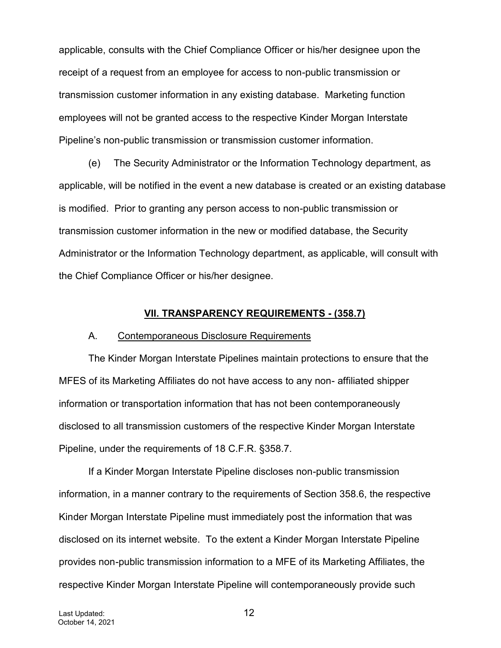applicable, consults with the Chief Compliance Officer or his/her designee upon the receipt of a request from an employee for access to non-public transmission or transmission customer information in any existing database. Marketing function employees will not be granted access to the respective Kinder Morgan Interstate Pipeline's non-public transmission or transmission customer information.

(e) The Security Administrator or the Information Technology department, as applicable, will be notified in the event a new database is created or an existing database is modified. Prior to granting any person access to non-public transmission or transmission customer information in the new or modified database, the Security Administrator or the Information Technology department, as applicable, will consult with the Chief Compliance Officer or his/her designee.

#### **VII. TRANSPARENCY REQUIREMENTS - (358.7)**

#### A. Contemporaneous Disclosure Requirements

The Kinder Morgan Interstate Pipelines maintain protections to ensure that the MFES of its Marketing Affiliates do not have access to any non- affiliated shipper information or transportation information that has not been contemporaneously disclosed to all transmission customers of the respective Kinder Morgan Interstate Pipeline, under the requirements of 18 C.F.R. §358.7.

If a Kinder Morgan Interstate Pipeline discloses non-public transmission information, in a manner contrary to the requirements of Section 358.6, the respective Kinder Morgan Interstate Pipeline must immediately post the information that was disclosed on its internet website. To the extent a Kinder Morgan Interstate Pipeline provides non-public transmission information to a MFE of its Marketing Affiliates, the respective Kinder Morgan Interstate Pipeline will contemporaneously provide such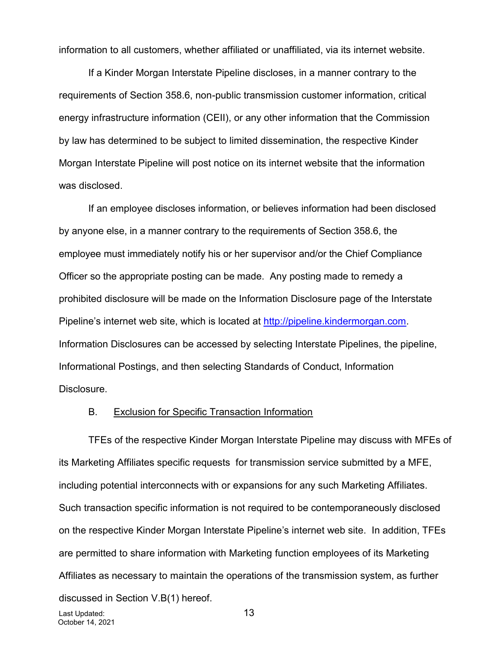information to all customers, whether affiliated or unaffiliated, via its internet website.

If a Kinder Morgan Interstate Pipeline discloses, in a manner contrary to the requirements of Section 358.6, non-public transmission customer information, critical energy infrastructure information (CEII), or any other information that the Commission by law has determined to be subject to limited dissemination, the respective Kinder Morgan Interstate Pipeline will post notice on its internet website that the information was disclosed.

If an employee discloses information, or believes information had been disclosed by anyone else, in a manner contrary to the requirements of Section 358.6, the employee must immediately notify his or her supervisor and/or the Chief Compliance Officer so the appropriate posting can be made. Any posting made to remedy a prohibited disclosure will be made on the Information Disclosure page of the Interstate Pipeline's internet web site, which is located at http://pipeline.kindermorgan.com. Information Disclosures can be accessed by selecting Interstate Pipelines, the pipeline, Informational Postings, and then selecting Standards of Conduct, Information Disclosure.

#### B. Exclusion for Specific Transaction Information

TFEs of the respective Kinder Morgan Interstate Pipeline may discuss with MFEs of its Marketing Affiliates specific requests for transmission service submitted by a MFE, including potential interconnects with or expansions for any such Marketing Affiliates. Such transaction specific information is not required to be contemporaneously disclosed on the respective Kinder Morgan Interstate Pipeline's internet web site. In addition, TFEs are permitted to share information with Marketing function employees of its Marketing Affiliates as necessary to maintain the operations of the transmission system, as further discussed in Section V.B(1) hereof.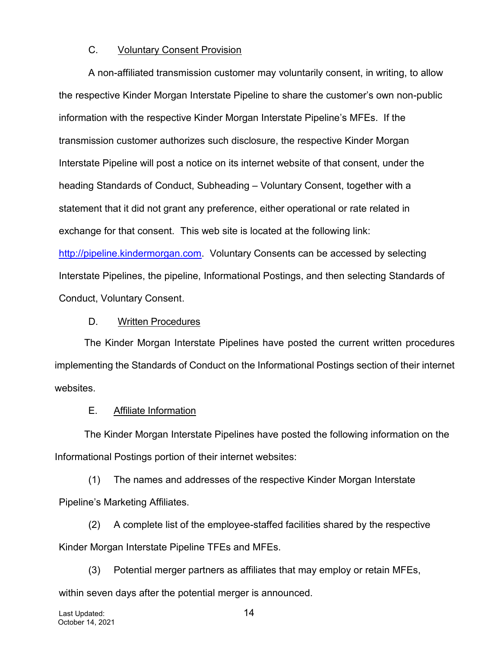## C. Voluntary Consent Provision

A non-affiliated transmission customer may voluntarily consent, in writing, to allow the respective Kinder Morgan Interstate Pipeline to share the customer's own non-public information with the respective Kinder Morgan Interstate Pipeline's MFEs. If the transmission customer authorizes such disclosure, the respective Kinder Morgan Interstate Pipeline will post a notice on its internet website of that consent, under the heading Standards of Conduct, Subheading – Voluntary Consent, together with a statement that it did not grant any preference, either operational or rate related in exchange for that consent. This web site is located at the following link: http://pipeline.kindermorgan.com. Voluntary Consents can be accessed by selecting Interstate Pipelines, the pipeline, Informational Postings, and then selecting Standards of Conduct, Voluntary Consent.

### D. Written Procedures

The Kinder Morgan Interstate Pipelines have posted the current written procedures implementing the Standards of Conduct on the Informational Postings section of their internet websites.

### E. Affiliate Information

The Kinder Morgan Interstate Pipelines have posted the following information on the Informational Postings portion of their internet websites:

(1) The names and addresses of the respective Kinder Morgan Interstate Pipeline's Marketing Affiliates.

(2) A complete list of the employee-staffed facilities shared by the respective Kinder Morgan Interstate Pipeline TFEs and MFEs.

(3) Potential merger partners as affiliates that may employ or retain MFEs, within seven days after the potential merger is announced.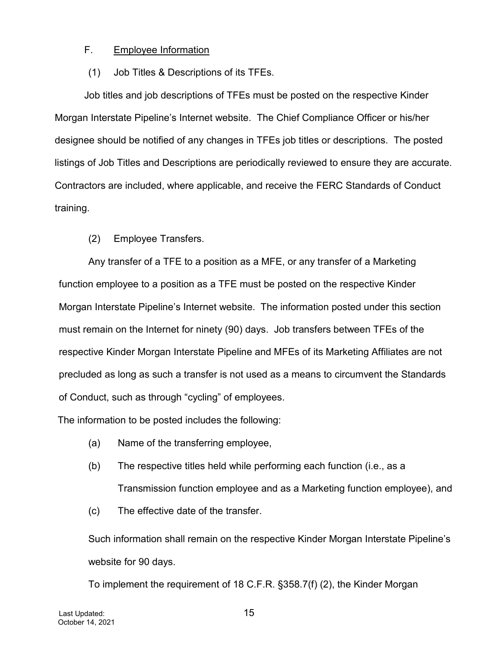# F. Employee Information

# (1) Job Titles & Descriptions of its TFEs.

Job titles and job descriptions of TFEs must be posted on the respective Kinder Morgan Interstate Pipeline's Internet website. The Chief Compliance Officer or his/her designee should be notified of any changes in TFEs job titles or descriptions. The posted listings of Job Titles and Descriptions are periodically reviewed to ensure they are accurate. Contractors are included, where applicable, and receive the FERC Standards of Conduct training.

# (2) Employee Transfers.

Any transfer of a TFE to a position as a MFE, or any transfer of a Marketing function employee to a position as a TFE must be posted on the respective Kinder Morgan Interstate Pipeline's Internet website. The information posted under this section must remain on the Internet for ninety (90) days. Job transfers between TFEs of the respective Kinder Morgan Interstate Pipeline and MFEs of its Marketing Affiliates are not precluded as long as such a transfer is not used as a means to circumvent the Standards of Conduct, such as through "cycling" of employees.

The information to be posted includes the following:

- (a) Name of the transferring employee,
- (b) The respective titles held while performing each function (i.e., as a Transmission function employee and as a Marketing function employee), and
- (c) The effective date of the transfer.

Such information shall remain on the respective Kinder Morgan Interstate Pipeline's website for 90 days.

To implement the requirement of 18 C.F.R. §358.7(f) (2), the Kinder Morgan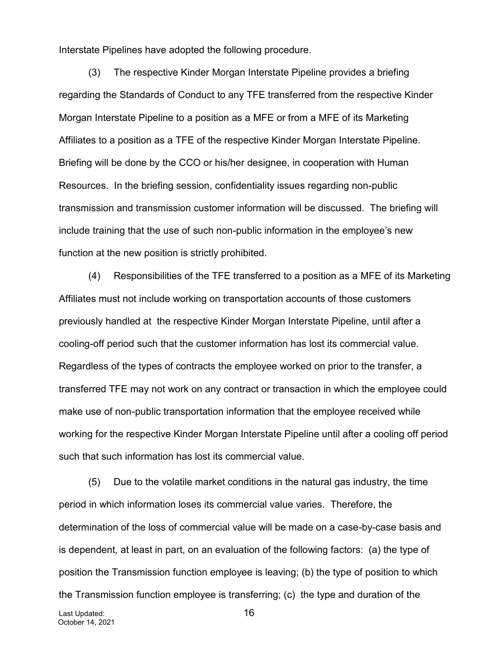Interstate Pipelines have adopted the following procedure.

(3) The respective Kinder Morgan Interstate Pipeline provides a briefing regarding the Standards of Conduct to any TFE transferred from the respective Kinder Morgan Interstate Pipeline to a position as a MFE or from a MFE of its Marketing Affiliates to a position as a TFE of the respective Kinder Morgan Interstate Pipeline. Briefing will be done by the CCO or his/her designee, in cooperation with Human Resources. In the briefing session, confidentiality issues regarding non-public transmission and transmission customer information will be discussed. The briefing will include training that the use of such non-public information in the employee's new function at the new position is strictly prohibited.

(4) Responsibilities of the TFE transferred to a position as a MFE of its Marketing Affiliates must not include working on transportation accounts of those customers previously handled at the respective Kinder Morgan Interstate Pipeline, until after a cooling-off period such that the customer information has lost its commercial value. Regardless of the types of contracts the employee worked on prior to the transfer, a transferred TFE may not work on any contract or transaction in which the employee could make use of non-public transportation information that the employee received while working for the respective Kinder Morgan Interstate Pipeline until after a cooling off period such that such information has lost its commercial value.

(5) Due to the volatile market conditions in the natural gas industry, the time period in which information loses its commercial value varies. Therefore, the determination of the loss of commercial value will be made on a case-by-case basis and is dependent, at least in part, on an evaluation of the following factors: (a) the type of position the Transmission function employee is leaving; (b) the type of position to which the Transmission function employee is transferring; (c) the type and duration of the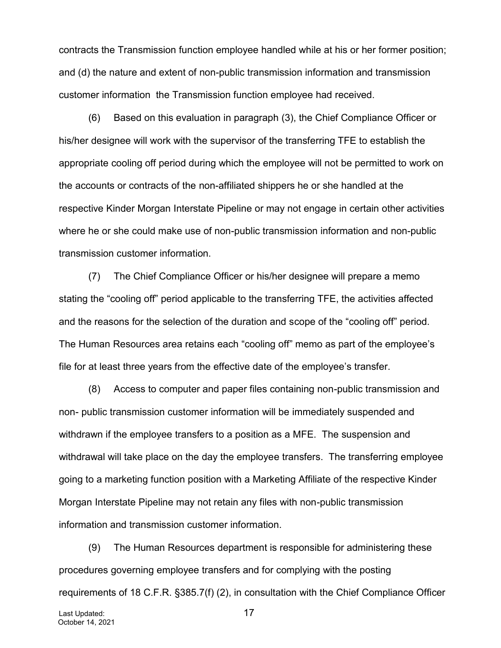contracts the Transmission function employee handled while at his or her former position; and (d) the nature and extent of non-public transmission information and transmission customer information the Transmission function employee had received.

(6) Based on this evaluation in paragraph (3), the Chief Compliance Officer or his/her designee will work with the supervisor of the transferring TFE to establish the appropriate cooling off period during which the employee will not be permitted to work on the accounts or contracts of the non-affiliated shippers he or she handled at the respective Kinder Morgan Interstate Pipeline or may not engage in certain other activities where he or she could make use of non-public transmission information and non-public transmission customer information.

(7) The Chief Compliance Officer or his/her designee will prepare a memo stating the "cooling off" period applicable to the transferring TFE, the activities affected and the reasons for the selection of the duration and scope of the "cooling off" period. The Human Resources area retains each "cooling off" memo as part of the employee's file for at least three years from the effective date of the employee's transfer.

(8) Access to computer and paper files containing non-public transmission and non- public transmission customer information will be immediately suspended and withdrawn if the employee transfers to a position as a MFE. The suspension and withdrawal will take place on the day the employee transfers. The transferring employee going to a marketing function position with a Marketing Affiliate of the respective Kinder Morgan Interstate Pipeline may not retain any files with non-public transmission information and transmission customer information.

(9) The Human Resources department is responsible for administering these procedures governing employee transfers and for complying with the posting requirements of 18 C.F.R. §385.7(f) (2), in consultation with the Chief Compliance Officer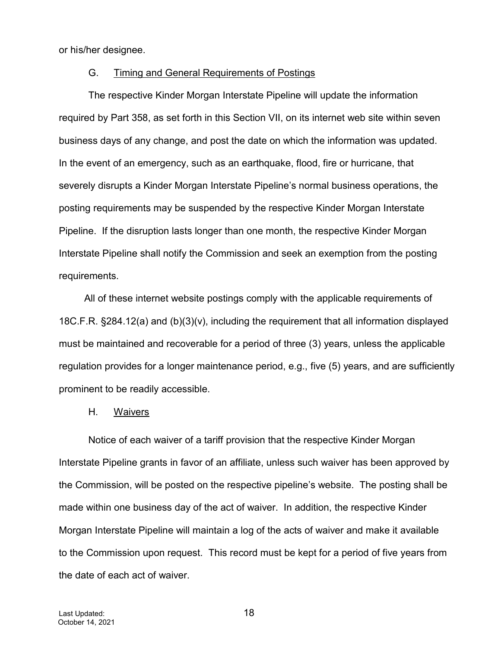or his/her designee.

#### G. Timing and General Requirements of Postings

The respective Kinder Morgan Interstate Pipeline will update the information required by Part 358, as set forth in this Section VII, on its internet web site within seven business days of any change, and post the date on which the information was updated. In the event of an emergency, such as an earthquake, flood, fire or hurricane, that severely disrupts a Kinder Morgan Interstate Pipeline's normal business operations, the posting requirements may be suspended by the respective Kinder Morgan Interstate Pipeline. If the disruption lasts longer than one month, the respective Kinder Morgan Interstate Pipeline shall notify the Commission and seek an exemption from the posting requirements.

All of these internet website postings comply with the applicable requirements of 18C.F.R. §284.12(a) and (b)(3)(v), including the requirement that all information displayed must be maintained and recoverable for a period of three (3) years, unless the applicable regulation provides for a longer maintenance period, e.g., five (5) years, and are sufficiently prominent to be readily accessible.

# H. Waivers

Notice of each waiver of a tariff provision that the respective Kinder Morgan Interstate Pipeline grants in favor of an affiliate, unless such waiver has been approved by the Commission, will be posted on the respective pipeline's website. The posting shall be made within one business day of the act of waiver. In addition, the respective Kinder Morgan Interstate Pipeline will maintain a log of the acts of waiver and make it available to the Commission upon request. This record must be kept for a period of five years from the date of each act of waiver.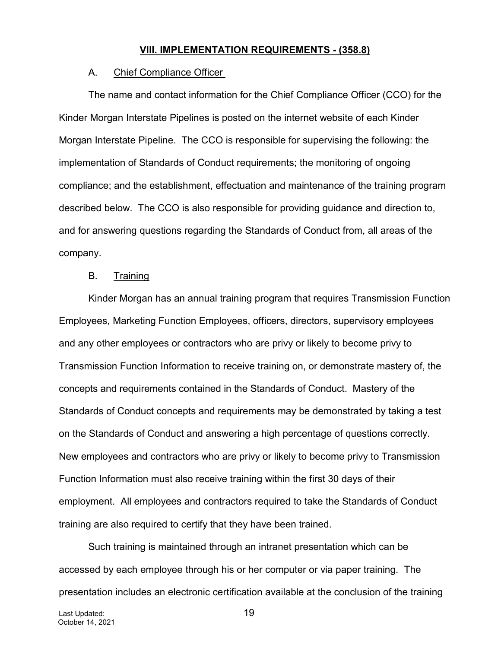#### **VIII. IMPLEMENTATION REQUIREMENTS - (358.8)**

#### A. Chief Compliance Officer

The name and contact information for the Chief Compliance Officer (CCO) for the Kinder Morgan Interstate Pipelines is posted on the internet website of each Kinder Morgan Interstate Pipeline. The CCO is responsible for supervising the following: the implementation of Standards of Conduct requirements; the monitoring of ongoing compliance; and the establishment, effectuation and maintenance of the training program described below. The CCO is also responsible for providing guidance and direction to, and for answering questions regarding the Standards of Conduct from, all areas of the company.

# B. Training

Kinder Morgan has an annual training program that requires Transmission Function Employees, Marketing Function Employees, officers, directors, supervisory employees and any other employees or contractors who are privy or likely to become privy to Transmission Function Information to receive training on, or demonstrate mastery of, the concepts and requirements contained in the Standards of Conduct. Mastery of the Standards of Conduct concepts and requirements may be demonstrated by taking a test on the Standards of Conduct and answering a high percentage of questions correctly. New employees and contractors who are privy or likely to become privy to Transmission Function Information must also receive training within the first 30 days of their employment. All employees and contractors required to take the Standards of Conduct training are also required to certify that they have been trained.

Such training is maintained through an intranet presentation which can be accessed by each employee through his or her computer or via paper training. The presentation includes an electronic certification available at the conclusion of the training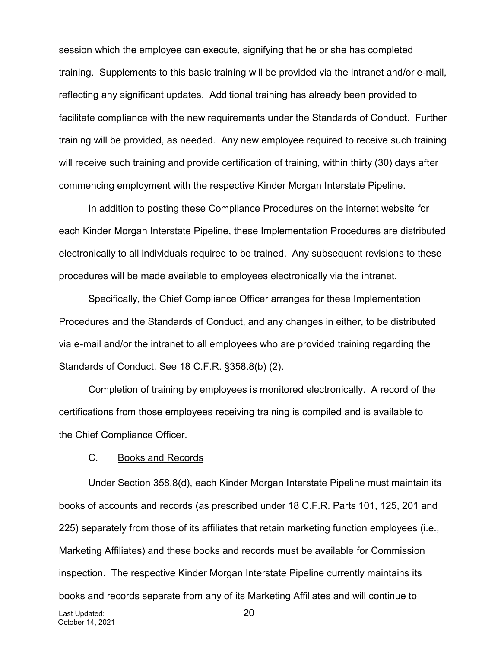session which the employee can execute, signifying that he or she has completed training. Supplements to this basic training will be provided via the intranet and/or e-mail, reflecting any significant updates. Additional training has already been provided to facilitate compliance with the new requirements under the Standards of Conduct. Further training will be provided, as needed. Any new employee required to receive such training will receive such training and provide certification of training, within thirty (30) days after commencing employment with the respective Kinder Morgan Interstate Pipeline.

In addition to posting these Compliance Procedures on the internet website for each Kinder Morgan Interstate Pipeline, these Implementation Procedures are distributed electronically to all individuals required to be trained. Any subsequent revisions to these procedures will be made available to employees electronically via the intranet.

Specifically, the Chief Compliance Officer arranges for these Implementation Procedures and the Standards of Conduct, and any changes in either, to be distributed via e-mail and/or the intranet to all employees who are provided training regarding the Standards of Conduct. See 18 C.F.R. §358.8(b) (2).

Completion of training by employees is monitored electronically. A record of the certifications from those employees receiving training is compiled and is available to the Chief Compliance Officer.

#### C. Books and Records

Last Updated: 20 October 14, 2021 Under Section 358.8(d), each Kinder Morgan Interstate Pipeline must maintain its books of accounts and records (as prescribed under 18 C.F.R. Parts 101, 125, 201 and 225) separately from those of its affiliates that retain marketing function employees (i.e., Marketing Affiliates) and these books and records must be available for Commission inspection. The respective Kinder Morgan Interstate Pipeline currently maintains its books and records separate from any of its Marketing Affiliates and will continue to